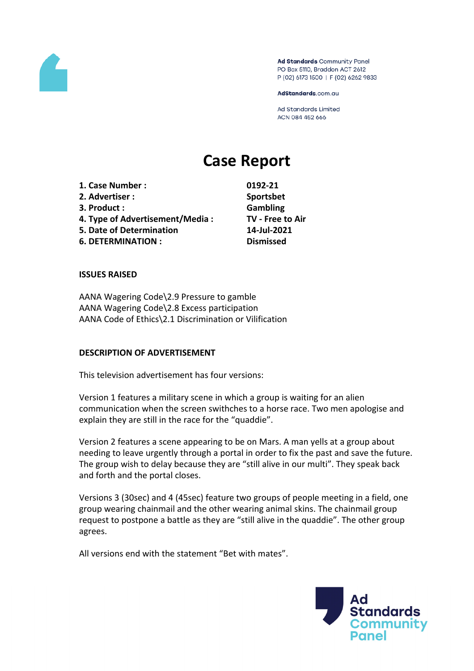

Ad Standards Community Panel PO Box 5110, Braddon ACT 2612 P (02) 6173 1500 | F (02) 6262 9833

AdStandards.com.au

**Ad Standards Limited** ACN 084 452 666

# **Case Report**

**1. Case Number : 0192-21 2. Advertiser : Sportsbet 3. Product : Gambling 4. Type of Advertisement/Media : TV - Free to Air 5. Date of Determination 14-Jul-2021 6. DETERMINATION : Dismissed**

#### **ISSUES RAISED**

AANA Wagering Code\2.9 Pressure to gamble AANA Wagering Code\2.8 Excess participation AANA Code of Ethics\2.1 Discrimination or Vilification

#### **DESCRIPTION OF ADVERTISEMENT**

This television advertisement has four versions:

Version 1 features a military scene in which a group is waiting for an alien communication when the screen swithches to a horse race. Two men apologise and explain they are still in the race for the "quaddie".

Version 2 features a scene appearing to be on Mars. A man yells at a group about needing to leave urgently through a portal in order to fix the past and save the future. The group wish to delay because they are "still alive in our multi". They speak back and forth and the portal closes.

Versions 3 (30sec) and 4 (45sec) feature two groups of people meeting in a field, one group wearing chainmail and the other wearing animal skins. The chainmail group request to postpone a battle as they are "still alive in the quaddie". The other group agrees.

All versions end with the statement "Bet with mates".

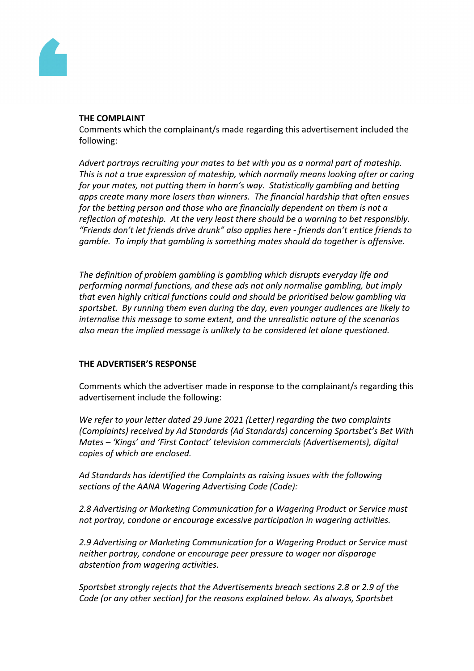

#### **THE COMPLAINT**

Comments which the complainant/s made regarding this advertisement included the following:

*Advert portrays recruiting your mates to bet with you as a normal part of mateship. This is not a true expression of mateship, which normally means looking after or caring for your mates, not putting them in harm's way. Statistically gambling and betting apps create many more losers than winners. The financial hardship that often ensues for the betting person and those who are financially dependent on them is not a reflection of mateship. At the very least there should be a warning to bet responsibly. "Friends don't let friends drive drunk" also applies here - friends don't entice friends to gamble. To imply that gambling is something mates should do together is offensive.*

*The definition of problem gambling is gambling which disrupts everyday life and performing normal functions, and these ads not only normalise gambling, but imply that even highly critical functions could and should be prioritised below gambling via sportsbet. By running them even during the day, even younger audiences are likely to internalise this message to some extent, and the unrealistic nature of the scenarios also mean the implied message is unlikely to be considered let alone questioned.*

# **THE ADVERTISER'S RESPONSE**

Comments which the advertiser made in response to the complainant/s regarding this advertisement include the following:

*We refer to your letter dated 29 June 2021 (Letter) regarding the two complaints (Complaints) received by Ad Standards (Ad Standards) concerning Sportsbet's Bet With Mates – 'Kings' and 'First Contact' television commercials (Advertisements), digital copies of which are enclosed.*

*Ad Standards has identified the Complaints as raising issues with the following sections of the AANA Wagering Advertising Code (Code):*

*2.8 Advertising or Marketing Communication for a Wagering Product or Service must not portray, condone or encourage excessive participation in wagering activities.*

*2.9 Advertising or Marketing Communication for a Wagering Product or Service must neither portray, condone or encourage peer pressure to wager nor disparage abstention from wagering activities.*

*Sportsbet strongly rejects that the Advertisements breach sections 2.8 or 2.9 of the Code (or any other section) for the reasons explained below. As always, Sportsbet*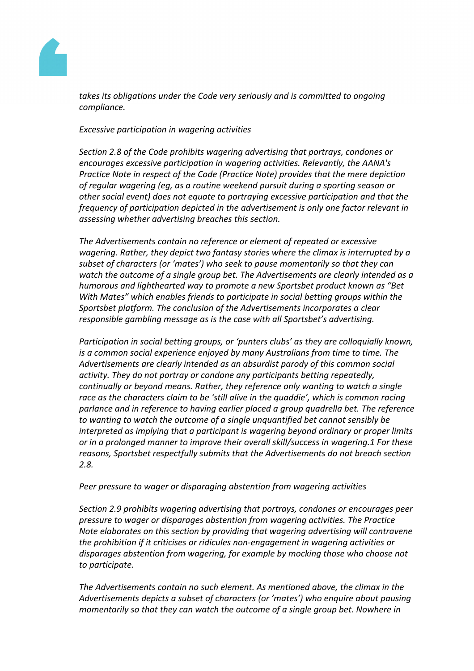

*takes its obligations under the Code very seriously and is committed to ongoing compliance.*

### *Excessive participation in wagering activities*

*Section 2.8 of the Code prohibits wagering advertising that portrays, condones or encourages excessive participation in wagering activities. Relevantly, the AANA's Practice Note in respect of the Code (Practice Note) provides that the mere depiction of regular wagering (eg, as a routine weekend pursuit during a sporting season or other social event) does not equate to portraying excessive participation and that the frequency of participation depicted in the advertisement is only one factor relevant in assessing whether advertising breaches this section.*

*The Advertisements contain no reference or element of repeated or excessive wagering. Rather, they depict two fantasy stories where the climax is interrupted by a subset of characters (or 'mates') who seek to pause momentarily so that they can watch the outcome of a single group bet. The Advertisements are clearly intended as a humorous and lighthearted way to promote a new Sportsbet product known as "Bet With Mates" which enables friends to participate in social betting groups within the Sportsbet platform. The conclusion of the Advertisements incorporates a clear responsible gambling message as is the case with all Sportsbet's advertising.*

*Participation in social betting groups, or 'punters clubs' as they are colloquially known, is a common social experience enjoyed by many Australians from time to time. The Advertisements are clearly intended as an absurdist parody of this common social activity. They do not portray or condone any participants betting repeatedly, continually or beyond means. Rather, they reference only wanting to watch a single race as the characters claim to be 'still alive in the quaddie', which is common racing parlance and in reference to having earlier placed a group quadrella bet. The reference to wanting to watch the outcome of a single unquantified bet cannot sensibly be interpreted as implying that a participant is wagering beyond ordinary or proper limits or in a prolonged manner to improve their overall skill/success in wagering.1 For these reasons, Sportsbet respectfully submits that the Advertisements do not breach section 2.8.*

#### *Peer pressure to wager or disparaging abstention from wagering activities*

*Section 2.9 prohibits wagering advertising that portrays, condones or encourages peer pressure to wager or disparages abstention from wagering activities. The Practice Note elaborates on this section by providing that wagering advertising will contravene the prohibition if it criticises or ridicules non-engagement in wagering activities or disparages abstention from wagering, for example by mocking those who choose not to participate.*

*The Advertisements contain no such element. As mentioned above, the climax in the Advertisements depicts a subset of characters (or 'mates') who enquire about pausing momentarily so that they can watch the outcome of a single group bet. Nowhere in*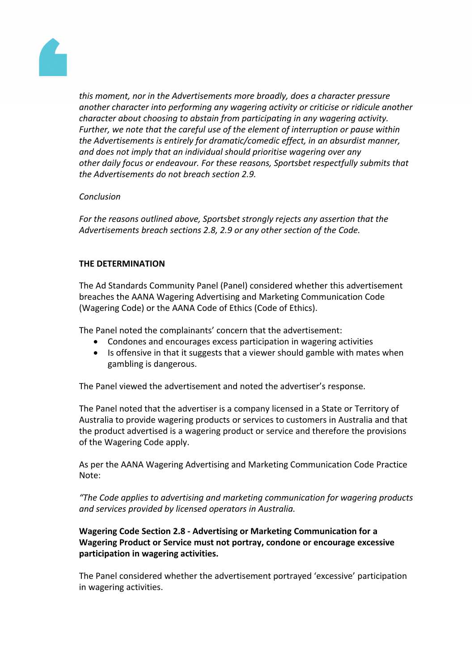

*this moment, nor in the Advertisements more broadly, does a character pressure another character into performing any wagering activity or criticise or ridicule another character about choosing to abstain from participating in any wagering activity. Further, we note that the careful use of the element of interruption or pause within the Advertisements is entirely for dramatic/comedic effect, in an absurdist manner, and does not imply that an individual should prioritise wagering over any other daily focus or endeavour. For these reasons, Sportsbet respectfully submits that the Advertisements do not breach section 2.9.*

### *Conclusion*

*For the reasons outlined above, Sportsbet strongly rejects any assertion that the Advertisements breach sections 2.8, 2.9 or any other section of the Code.*

## **THE DETERMINATION**

The Ad Standards Community Panel (Panel) considered whether this advertisement breaches the AANA Wagering Advertising and Marketing Communication Code (Wagering Code) or the AANA Code of Ethics (Code of Ethics).

The Panel noted the complainants' concern that the advertisement:

- Condones and encourages excess participation in wagering activities
- Is offensive in that it suggests that a viewer should gamble with mates when gambling is dangerous.

The Panel viewed the advertisement and noted the advertiser's response.

The Panel noted that the advertiser is a company licensed in a State or Territory of Australia to provide wagering products or services to customers in Australia and that the product advertised is a wagering product or service and therefore the provisions of the Wagering Code apply.

As per the AANA Wagering Advertising and Marketing Communication Code Practice Note:

*"The Code applies to advertising and marketing communication for wagering products and services provided by licensed operators in Australia.*

**Wagering Code Section 2.8 - Advertising or Marketing Communication for a Wagering Product or Service must not portray, condone or encourage excessive participation in wagering activities.**

The Panel considered whether the advertisement portrayed 'excessive' participation in wagering activities.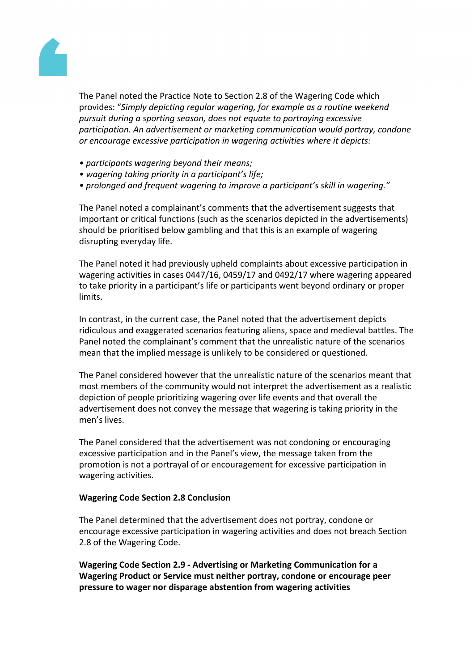

The Panel noted the Practice Note to Section 2.8 of the Wagering Code which provides: "*Simply depicting regular wagering, for example as a routine weekend pursuit during a sporting season, does not equate to portraying excessive participation. An advertisement or marketing communication would portray, condone or encourage excessive participation in wagering activities where it depicts:*

- *• participants wagering beyond their means;*
- *• wagering taking priority in a participant's life;*
- *• prolonged and frequent wagering to improve a participant's skill in wagering."*

The Panel noted a complainant's comments that the advertisement suggests that important or critical functions (such as the scenarios depicted in the advertisements) should be prioritised below gambling and that this is an example of wagering disrupting everyday life.

The Panel noted it had previously upheld complaints about excessive participation in wagering activities in cases 0447/16, 0459/17 and 0492/17 where wagering appeared to take priority in a participant's life or participants went beyond ordinary or proper limits.

In contrast, in the current case, the Panel noted that the advertisement depicts ridiculous and exaggerated scenarios featuring aliens, space and medieval battles. The Panel noted the complainant's comment that the unrealistic nature of the scenarios mean that the implied message is unlikely to be considered or questioned.

The Panel considered however that the unrealistic nature of the scenarios meant that most members of the community would not interpret the advertisement as a realistic depiction of people prioritizing wagering over life events and that overall the advertisement does not convey the message that wagering is taking priority in the men's lives.

The Panel considered that the advertisement was not condoning or encouraging excessive participation and in the Panel's view, the message taken from the promotion is not a portrayal of or encouragement for excessive participation in wagering activities.

### **Wagering Code Section 2.8 Conclusion**

The Panel determined that the advertisement does not portray, condone or encourage excessive participation in wagering activities and does not breach Section 2.8 of the Wagering Code.

**Wagering Code Section 2.9 - Advertising or Marketing Communication for a Wagering Product or Service must neither portray, condone or encourage peer pressure to wager nor disparage abstention from wagering activities**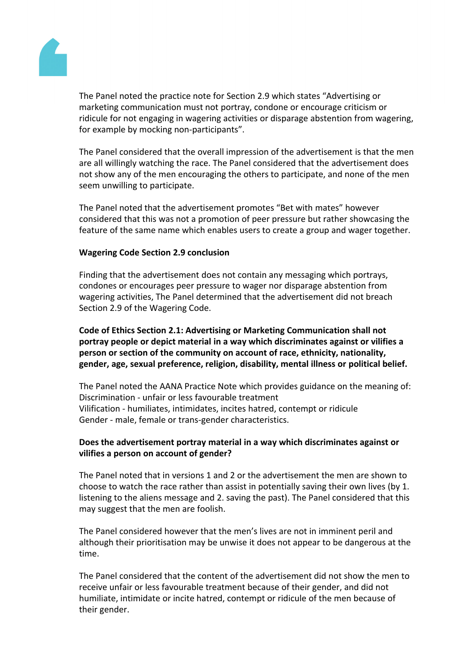

The Panel noted the practice note for Section 2.9 which states "Advertising or marketing communication must not portray, condone or encourage criticism or ridicule for not engaging in wagering activities or disparage abstention from wagering, for example by mocking non-participants".

The Panel considered that the overall impression of the advertisement is that the men are all willingly watching the race. The Panel considered that the advertisement does not show any of the men encouraging the others to participate, and none of the men seem unwilling to participate.

The Panel noted that the advertisement promotes "Bet with mates" however considered that this was not a promotion of peer pressure but rather showcasing the feature of the same name which enables users to create a group and wager together.

### **Wagering Code Section 2.9 conclusion**

Finding that the advertisement does not contain any messaging which portrays, condones or encourages peer pressure to wager nor disparage abstention from wagering activities, The Panel determined that the advertisement did not breach Section 2.9 of the Wagering Code.

**Code of Ethics Section 2.1: Advertising or Marketing Communication shall not portray people or depict material in a way which discriminates against or vilifies a person or section of the community on account of race, ethnicity, nationality, gender, age, sexual preference, religion, disability, mental illness or political belief.**

The Panel noted the AANA Practice Note which provides guidance on the meaning of: Discrimination - unfair or less favourable treatment Vilification - humiliates, intimidates, incites hatred, contempt or ridicule Gender - male, female or trans-gender characteristics.

# **Does the advertisement portray material in a way which discriminates against or vilifies a person on account of gender?**

The Panel noted that in versions 1 and 2 or the advertisement the men are shown to choose to watch the race rather than assist in potentially saving their own lives (by 1. listening to the aliens message and 2. saving the past). The Panel considered that this may suggest that the men are foolish.

The Panel considered however that the men's lives are not in imminent peril and although their prioritisation may be unwise it does not appear to be dangerous at the time.

The Panel considered that the content of the advertisement did not show the men to receive unfair or less favourable treatment because of their gender, and did not humiliate, intimidate or incite hatred, contempt or ridicule of the men because of their gender.